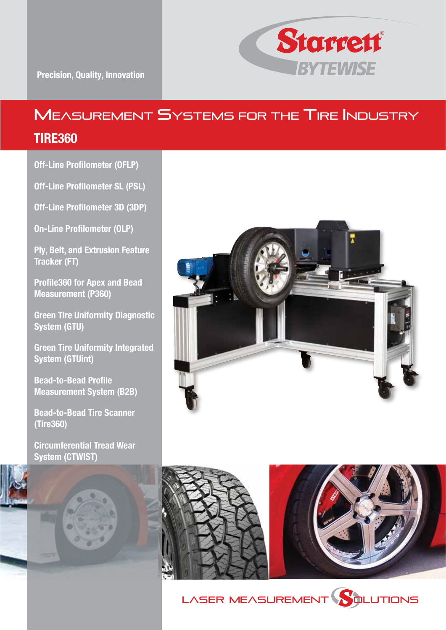

## MEASUREMENT SYSTEMS FOR THE TIRE INDUSTRY

### TIRE360

Off-Line Profilometer (OFLP)

Off-Line Profilometer SL (PSL)

Off-Line Profilometer 3D (3DP)

On-Line Profilometer (OLP)

Ply, Belt, and Extrusion Feature Tracker (FT)

Profile360 for Apex and Bead Measurement (P360)

Green Tire Uniformity Diagnostic System (GTU)

Green Tire Uniformity Integrated System (GTUint)

Bead-to-Bead Profile Measurement System (B2B)

Bead-to-Bead Tire Scanner (Tire360)

Circumferential Tread Wear System (CTWIST)







LASER MEASUREMENT **SQLUTIONS** 

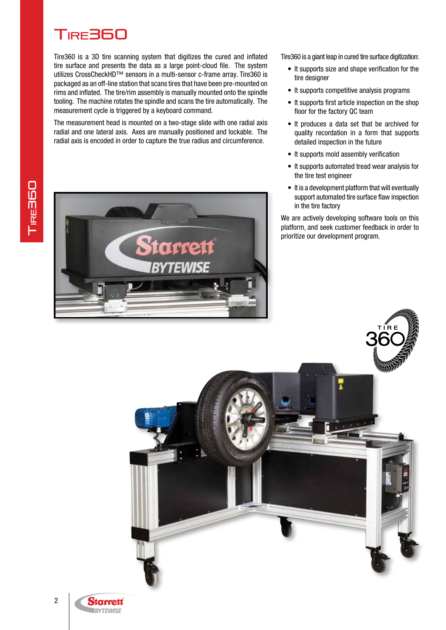# Tire360

Tire360 is a 3D tire scanning system that digitizes the cured and inflated tire surface and presents the data as a large point-cloud file. The system utilizes CrossCheckHD™ sensors in a multi-sensor c-frame array. Tire360 is packaged as an off-line station that scans tires that have been pre-mounted on rims and inflated. The tire/rim assembly is manually mounted onto the spindle tooling. The machine rotates the spindle and scans the tire automatically. The measurement cycle is triggered by a keyboard command.

The measurement head is mounted on a two-stage slide with one radial axis radial and one lateral axis. Axes are manually positioned and lockable. The radial axis is encoded in order to capture the true radius and circumference.



Tire360 is a giant leap in cured tire surface digitization:

- It supports size and shape verification for the tire designer
- It supports competitive analysis programs
- It supports first article inspection on the shop floor for the factory QC team
- It produces a data set that be archived for quality recordation in a form that supports detailed inspection in the future
- It supports mold assembly verification
- It supports automated tread wear analysis for the tire test engineer
- It is a development platform that will eventually support automated tire surface flaw inspection in the tire factory

We are actively developing software tools on this platform, and seek customer feedback in order to prioritize our development program.



2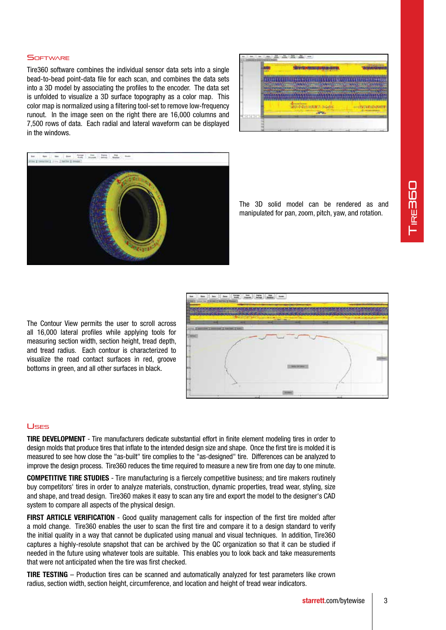#### SOETWARE

Tire360 software combines the individual sensor data sets into a single bead-to-bead point-data file for each scan, and combines the data sets into a 3D model by associating the profiles to the encoder. The data set is unfolded to visualize a 3D surface topography as a color map. This color map is normalized using a filtering tool-set to remove low-frequency runout. In the image seen on the right there are 16,000 columns and 7,500 rows of data. Each radial and lateral waveform can be displayed in the windows.





The 3D solid model can be rendered as and manipulated for pan, zoom, pitch, yaw, and rotation.

The Contour View permits the user to scroll across all 16,000 lateral profiles while applying tools for measuring section width, section height, tread depth, and tread radius. Each contour is characterized to visualize the road contact surfaces in red, groove bottoms in green, and all other surfaces in black.



#### Uses

TIRE DEVELOPMENT - Tire manufacturers dedicate substantial effort in finite element modeling tires in order to design molds that produce tires that inflate to the intended design size and shape. Once the first tire is molded it is measured to see how close the "as-built" tire complies to the "as-designed" tire. Differences can be analyzed to improve the design process. Tire360 reduces the time required to measure a new tire from one day to one minute.

COMPETITIVE TIRE STUDIES - Tire manufacturing is a fiercely competitive business; and tire makers routinely buy competitors' tires in order to analyze materials, construction, dynamic properties, tread wear, styling, size and shape, and tread design. Tire360 makes it easy to scan any tire and export the model to the designer's CAD system to compare all aspects of the physical design.

FIRST ARTICLE VERIFICATION - Good quality management calls for inspection of the first tire molded after a mold change. Tire360 enables the user to scan the first tire and compare it to a design standard to verify the initial quality in a way that cannot be duplicated using manual and visual techniques. In addition, Tire360 captures a highly-resolute snapshot that can be archived by the QC organization so that it can be studied if needed in the future using whatever tools are suitable. This enables you to look back and take measurements that were not anticipated when the tire was first checked.

TIRE TESTING – Production tires can be scanned and automatically analyzed for test parameters like crown radius, section width, section height, circumference, and location and height of tread wear indicators.